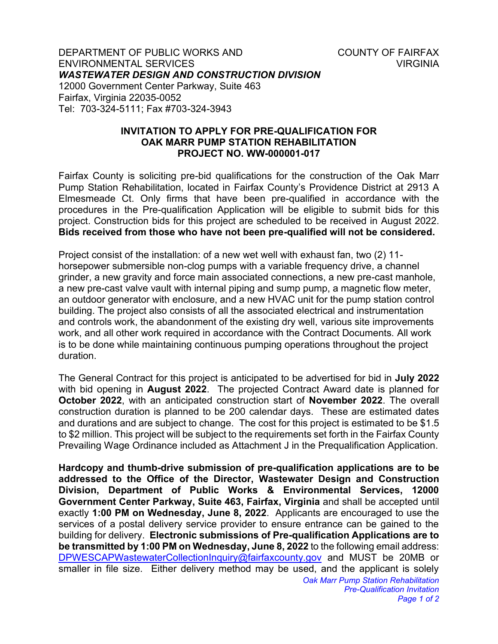DEPARTMENT OF PUBLIC WORKS AND **COUNTY OF FAIRFAX** ENVIRONMENTAL SERVICES VIRGINIA *WASTEWATER DESIGN AND CONSTRUCTION DIVISION* 12000 Government Center Parkway, Suite 463 Fairfax, Virginia 22035-0052 Tel: 703-324-5111; Fax #703-324-3943

## **INVITATION TO APPLY FOR PRE-QUALIFICATION FOR OAK MARR PUMP STATION REHABILITATION PROJECT NO. WW-000001-017**

Fairfax County is soliciting pre-bid qualifications for the construction of the Oak Marr Pump Station Rehabilitation, located in Fairfax County's Providence District at 2913 A Elmesmeade Ct. Only firms that have been pre-qualified in accordance with the procedures in the Pre-qualification Application will be eligible to submit bids for this project. Construction bids for this project are scheduled to be received in August 2022. **Bids received from those who have not been pre-qualified will not be considered.**

Project consist of the installation: of a new wet well with exhaust fan, two (2) 11 horsepower submersible non-clog pumps with a variable frequency drive, a channel grinder, a new gravity and force main associated connections, a new pre-cast manhole, a new pre-cast valve vault with internal piping and sump pump, a magnetic flow meter, an outdoor generator with enclosure, and a new HVAC unit for the pump station control building. The project also consists of all the associated electrical and instrumentation and controls work, the abandonment of the existing dry well, various site improvements work, and all other work required in accordance with the Contract Documents. All work is to be done while maintaining continuous pumping operations throughout the project duration.

The General Contract for this project is anticipated to be advertised for bid in **July 2022** with bid opening in **August 2022**. The projected Contract Award date is planned for **October 2022**, with an anticipated construction start of **November 2022**. The overall construction duration is planned to be 200 calendar days. These are estimated dates and durations and are subject to change. The cost for this project is estimated to be \$1.5 to \$2 million. This project will be subject to the requirements set forth in the Fairfax County Prevailing Wage Ordinance included as Attachment J in the Prequalification Application.

*Oak Marr Pump Station Rehabilitation* **Hardcopy and thumb-drive submission of pre-qualification applications are to be addressed to the Office of the Director, Wastewater Design and Construction Division, Department of Public Works & Environmental Services, 12000 Government Center Parkway, Suite 463, Fairfax, Virginia** and shall be accepted until exactly **1:00 PM on Wednesday, June 8, 2022**. Applicants are encouraged to use the services of a postal delivery service provider to ensure entrance can be gained to the building for delivery. **Electronic submissions of Pre-qualification Applications are to be transmitted by 1:00 PM on Wednesday, June 8, 2022** to the following email address: [DPWESCAPWastewaterCollectionInquiry@fairfaxcounty.gov](mailto:DPWESCAPWastewaterCollectionInquiry@fairfaxcounty.gov) and MUST be 20MB or smaller in file size. Either delivery method may be used, and the applicant is solely